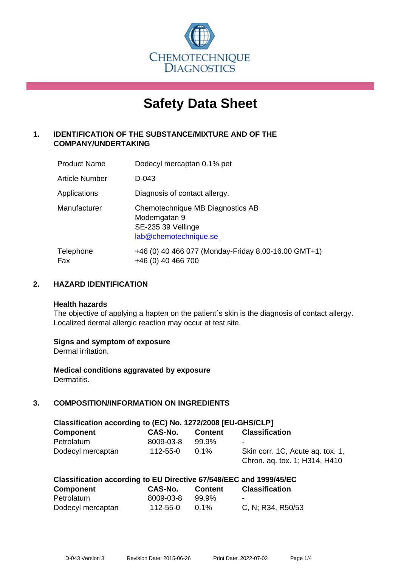

# **Safety Data Sheet**

# **1. IDENTIFICATION OF THE SUBSTANCE/MIXTURE AND OF THE COMPANY/UNDERTAKING**

| <b>Product Name</b>   | Dodecyl mercaptan 0.1% pet                                                                      |
|-----------------------|-------------------------------------------------------------------------------------------------|
| <b>Article Number</b> | D-043                                                                                           |
| Applications          | Diagnosis of contact allergy.                                                                   |
| Manufacturer          | Chemotechnique MB Diagnostics AB<br>Modemgatan 9<br>SE-235 39 Vellinge<br>lab@chemotechnique.se |
| Telephone<br>Fax      | +46 (0) 40 466 077 (Monday-Friday 8.00-16.00 GMT+1)<br>+46 (0) 40 466 700                       |

## **2. HAZARD IDENTIFICATION**

#### **Health hazards**

The objective of applying a hapten on the patient's skin is the diagnosis of contact allergy. Localized dermal allergic reaction may occur at test site.

## **Signs and symptom of exposure**

Dermal irritation.

**Medical conditions aggravated by exposure** Dermatitis.

# **3. COMPOSITION/INFORMATION ON INGREDIENTS**

| Classification according to (EC) No. 1272/2008 [EU-GHS/CLP] |           |         |                                                                   |  |  |
|-------------------------------------------------------------|-----------|---------|-------------------------------------------------------------------|--|--|
| <b>Component</b>                                            | CAS-No.   | Content | <b>Classification</b>                                             |  |  |
| Petrolatum                                                  | 8009-03-8 | 99.9%   | $\blacksquare$                                                    |  |  |
| Dodecyl mercaptan                                           | 112-55-0  | $0.1\%$ | Skin corr. 1C, Acute ag. tox. 1,<br>Chron. aq. tox. 1; H314, H410 |  |  |

| Classification according to EU Directive 67/548/EEC and 1999/45/EC |           |         |                       |  |
|--------------------------------------------------------------------|-----------|---------|-----------------------|--|
| <b>Component</b>                                                   | CAS-No.   | Content | <b>Classification</b> |  |
| Petrolatum                                                         | 8009-03-8 | 99.9%   |                       |  |
| Dodecyl mercaptan                                                  | 112-55-0  | $0.1\%$ | C, N; R34, R50/53     |  |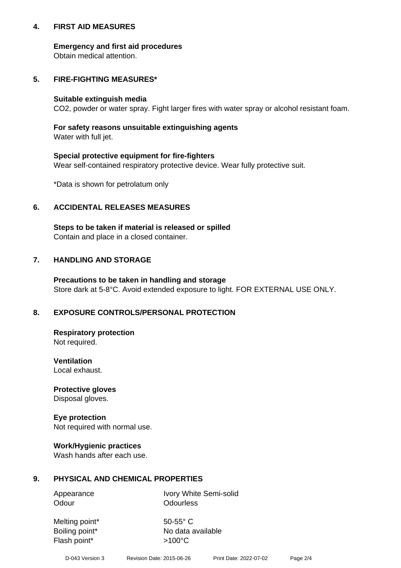## **4. FIRST AID MEASURES**

## **Emergency and first aid procedures**

Obtain medical attention.

# **5. FIRE-FIGHTING MEASURES\***

#### **Suitable extinguish media**

CO2, powder or water spray. Fight larger fires with water spray or alcohol resistant foam.

# **For safety reasons unsuitable extinguishing agents**

Water with full jet.

## **Special protective equipment for fire-fighters**

Wear self-contained respiratory protective device. Wear fully protective suit.

\*Data is shown for petrolatum only

## **6. ACCIDENTAL RELEASES MEASURES**

**Steps to be taken if material is released or spilled** Contain and place in a closed container.

# **7. HANDLING AND STORAGE**

**Precautions to be taken in handling and storage** Store dark at 5-8°C. Avoid extended exposure to light. FOR EXTERNAL USE ONLY.

# **8. EXPOSURE CONTROLS/PERSONAL PROTECTION**

**Respiratory protection** Not required.

**Ventilation** Local exhaust.

**Protective gloves** Disposal gloves.

#### **Eye protection** Not required with normal use.

## **Work/Hygienic practices**

Wash hands after each use.

## **9. PHYSICAL AND CHEMICAL PROPERTIES**

Odour **Odourless** 

Appearance Ivory White Semi-solid

Melting point\* 50-55° C Flash point\*  $>100^{\circ}$ C

Boiling point\* No data available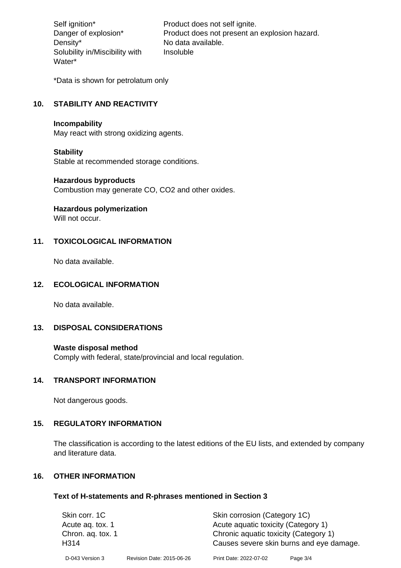Density\* No data available. Solubility in/Miscibility with Water\*

Self ignition\* Product does not self ignite. Danger of explosion\* Product does not present an explosion hazard. Insoluble

\*Data is shown for petrolatum only

# **10. STABILITY AND REACTIVITY**

#### **Incompability**

May react with strong oxidizing agents.

#### **Stability**

Stable at recommended storage conditions.

#### **Hazardous byproducts**

Combustion may generate CO, CO2 and other oxides.

**Hazardous polymerization**

Will not occur.

## **11. TOXICOLOGICAL INFORMATION**

No data available.

## **12. ECOLOGICAL INFORMATION**

No data available.

## **13. DISPOSAL CONSIDERATIONS**

#### **Waste disposal method**

Comply with federal, state/provincial and local regulation.

#### **14. TRANSPORT INFORMATION**

Not dangerous goods.

## **15. REGULATORY INFORMATION**

The classification is according to the latest editions of the EU lists, and extended by company and literature data.

#### **16. OTHER INFORMATION**

#### **Text of H-statements and R-phrases mentioned in Section 3**

| Skin corr. 1C     |                           | Skin corrosion (Category 1C)          |                                          |  |
|-------------------|---------------------------|---------------------------------------|------------------------------------------|--|
| Acute ag. tox. 1  |                           | Acute aquatic toxicity (Category 1)   |                                          |  |
| Chron. ag. tox. 1 |                           | Chronic aquatic toxicity (Category 1) |                                          |  |
| H <sub>3</sub> 14 |                           |                                       | Causes severe skin burns and eye damage. |  |
| D-043 Version 3   | Revision Date: 2015-06-26 | Print Date: 2022-07-02                | Page 3/4                                 |  |